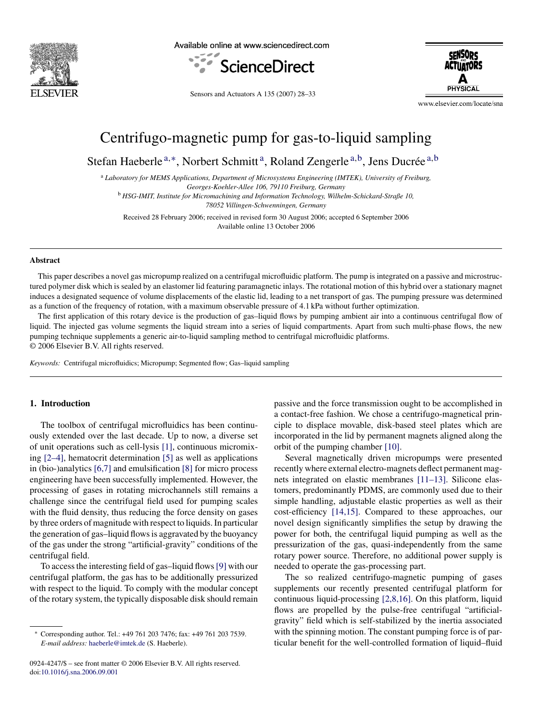

Available online at www.sciencedirect.com





Sensors and Actuators A 135 (2007) 28–33

www.elsevier.com/locate/sna

# Centrifugo-magnetic pump for gas-to-liquid sampling

Stefan Haeberle<sup>a,∗</sup>, Norbert Schmitt<sup>a</sup>, Roland Zengerle<sup>a,b</sup>, Jens Ducrée<sup>a,b</sup>

<sup>a</sup> *Laboratory for MEMS Applications, Department of Microsystems Engineering (IMTEK), University of Freiburg,*

*Georges-Koehler-Allee 106, 79110 Freiburg, Germany*

<sup>b</sup> *HSG-IMIT, Institute for Micromachining and Information Technology, Wilhelm-Schickard-Straße 10, 78052 Villingen-Schwenningen, Germany*

Received 28 February 2006; received in revised form 30 August 2006; accepted 6 September 2006 Available online 13 October 2006

#### **Abstract**

This paper describes a novel gas micropump realized on a centrifugal microfluidic platform. The pump is integrated on a passive and microstructured polymer disk which is sealed by an elastomer lid featuring paramagnetic inlays. The rotational motion of this hybrid over a stationary magnet induces a designated sequence of volume displacements of the elastic lid, leading to a net transport of gas. The pumping pressure was determined as a function of the frequency of rotation, with a maximum observable pressure of 4.1 kPa without further optimization.

The first application of this rotary device is the production of gas–liquid flows by pumping ambient air into a continuous centrifugal flow of liquid. The injected gas volume segments the liquid stream into a series of liquid compartments. Apart from such multi-phase flows, the new pumping technique supplements a generic air-to-liquid sampling method to centrifugal microfluidic platforms. © 2006 Elsevier B.V. All rights reserved.

*Keywords:* Centrifugal microfluidics; Micropump; Segmented flow; Gas–liquid sampling

## **1. Introduction**

The toolbox of centrifugal microfluidics has been continuously extended over the last decade. Up to now, a diverse set of unit operations such as cell-lysis [\[1\],](#page-5-0) continuous micromixing [\[2–4\],](#page-5-0) hematocrit determination [\[5\]](#page-5-0) as well as applications in (bio-)analytics [\[6,7\]](#page-5-0) and emulsification [\[8\]](#page-5-0) for micro process engineering have been successfully implemented. However, the processing of gases in rotating microchannels still remains a challenge since the centrifugal field used for pumping scales with the fluid density, thus reducing the force density on gases by three orders of magnitude with respect to liquids. In particular the generation of gas–liquid flows is aggravated by the buoyancy of the gas under the strong "artificial-gravity" conditions of the centrifugal field.

To access the interesting field of gas–liquid flows[\[9\]](#page-5-0) with our centrifugal platform, the gas has to be additionally pressurized with respect to the liquid. To comply with the modular concept of the rotary system, the typically disposable disk should remain

0924-4247/\$ – see front matter © 2006 Elsevier B.V. All rights reserved. doi[:10.1016/j.sna.2006.09.001](dx.doi.org/10.1016/j.sna.2006.09.001)

passive and the force transmission ought to be accomplished in a contact-free fashion. We chose a centrifugo-magnetical principle to displace movable, disk-based steel plates which are incorporated in the lid by permanent magnets aligned along the orbit of the pumping chamber [\[10\].](#page-5-0)

Several magnetically driven micropumps were presented recently where external electro-magnets deflect permanent magnets integrated on elastic membranes [\[11–13\].](#page-5-0) Silicone elastomers, predominantly PDMS, are commonly used due to their simple handling, adjustable elastic properties as well as their cost-efficiency [\[14,15\].](#page-5-0) Compared to these approaches, our novel design significantly simplifies the setup by drawing the power for both, the centrifugal liquid pumping as well as the pressurization of the gas, quasi-independently from the same rotary power source. Therefore, no additional power supply is needed to operate the gas-processing part.

The so realized centrifugo-magnetic pumping of gases supplements our recently presented centrifugal platform for continuous liquid-processing [\[2,8,16\].](#page-5-0) On this platform, liquid flows are propelled by the pulse-free centrifugal "artificialgravity" field which is self-stabilized by the inertia associated with the spinning motion. The constant pumping force is of particular benefit for the well-controlled formation of liquid–fluid

<sup>∗</sup> Corresponding author. Tel.: +49 761 203 7476; fax: +49 761 203 7539. *E-mail address:* [haeberle@imtek.de](mailto:haeberle@imtek.de) (S. Haeberle).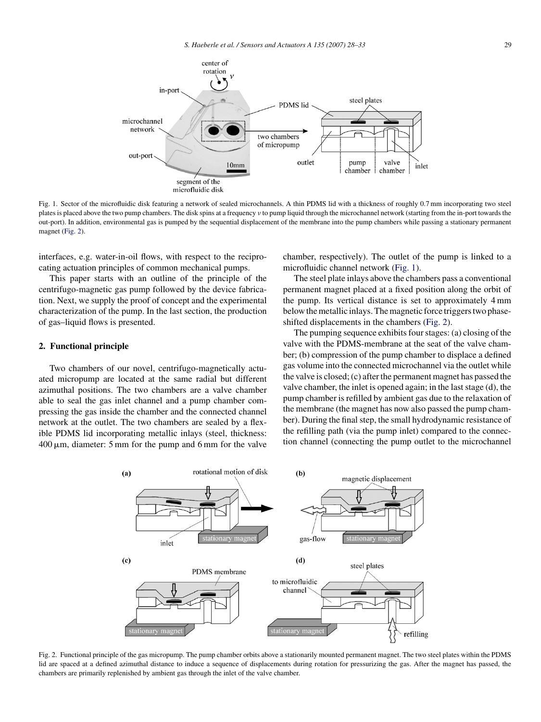

Fig. 1. Sector of the microfluidic disk featuring a network of sealed microchannels. A thin PDMS lid with a thickness of roughly 0.7 mm incorporating two steel plates is placed above the two pump chambers. The disk spins at a frequency ν to pump liquid through the microchannel network (starting from the in-port towards the out-port). In addition, environmental gas is pumped by the sequential displacement of the membrane into the pump chambers while passing a stationary permanent magnet (Fig. 2).

interfaces, e.g. water-in-oil flows, with respect to the reciprocating actuation principles of common mechanical pumps.

This paper starts with an outline of the principle of the centrifugo-magnetic gas pump followed by the device fabrication. Next, we supply the proof of concept and the experimental characterization of the pump. In the last section, the production of gas–liquid flows is presented.

#### **2. Functional principle**

Two chambers of our novel, centrifugo-magnetically actuated micropump are located at the same radial but different azimuthal positions. The two chambers are a valve chamber able to seal the gas inlet channel and a pump chamber compressing the gas inside the chamber and the connected channel network at the outlet. The two chambers are sealed by a flexible PDMS lid incorporating metallic inlays (steel, thickness:  $400 \,\mu$ m, diameter: 5 mm for the pump and 6 mm for the valve

chamber, respectively). The outlet of the pump is linked to a microfluidic channel network (Fig. 1).

The steel plate inlays above the chambers pass a conventional permanent magnet placed at a fixed position along the orbit of the pump. Its vertical distance is set to approximately 4 mm below the metallic inlays. The magnetic force triggers two phaseshifted displacements in the chambers (Fig. 2).

The pumping sequence exhibits four stages: (a) closing of the valve with the PDMS-membrane at the seat of the valve chamber; (b) compression of the pump chamber to displace a defined gas volume into the connected microchannel via the outlet while the valve is closed; (c) after the permanent magnet has passed the valve chamber, the inlet is opened again; in the last stage (d), the pump chamber is refilled by ambient gas due to the relaxation of the membrane (the magnet has now also passed the pump chamber). During the final step, the small hydrodynamic resistance of the refilling path (via the pump inlet) compared to the connection channel (connecting the pump outlet to the microchannel



Fig. 2. Functional principle of the gas micropump. The pump chamber orbits above a stationarily mounted permanent magnet. The two steel plates within the PDMS lid are spaced at a defined azimuthal distance to induce a sequence of displacements during rotation for pressurizing the gas. After the magnet has passed, the chambers are primarily replenished by ambient gas through the inlet of the valve chamber.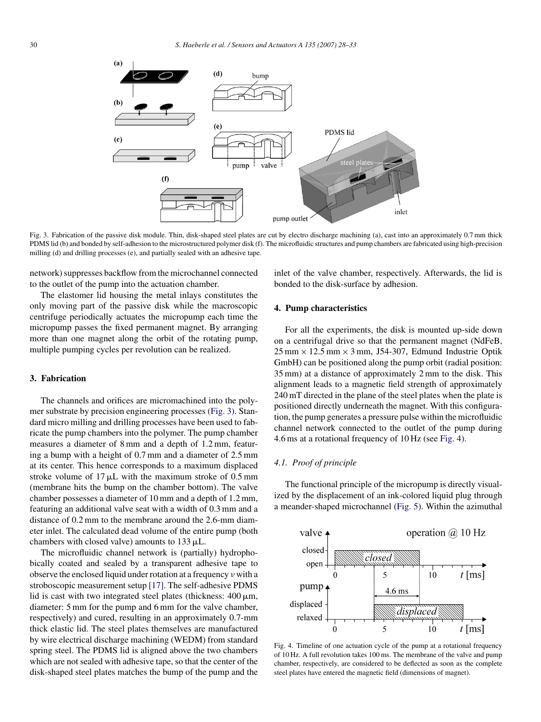<span id="page-2-0"></span>

Fig. 3. Fabrication of the passive disk module. Thin, disk-shaped steel plates are cut by electro discharge machining (a), cast into an approximately 0.7 mm thick PDMS lid (b) and bonded by self-adhesion to the microstructured polymer disk (f). The microfluidic structures and pump chambers are fabricated using high-precision milling (d) and drilling processes (e), and partially sealed with an adhesive tape.

network) suppresses backflow from the microchannel connected to the outlet of the pump into the actuation chamber.

The elastomer lid housing the metal inlays constitutes the only moving part of the passive disk while the macroscopic centrifuge periodically actuates the micropump each time the micropump passes the fixed permanent magnet. By arranging more than one magnet along the orbit of the rotating pump, multiple pumping cycles per revolution can be realized.

# **3. Fabrication**

The channels and orifices are micromachined into the polymer substrate by precision engineering processes (Fig. 3). Standard micro milling and drilling processes have been used to fabricate the pump chambers into the polymer. The pump chamber measures a diameter of 8 mm and a depth of 1.2 mm, featuring a bump with a height of 0.7 mm and a diameter of 2.5 mm at its center. This hence corresponds to a maximum displaced stroke volume of  $17 \mu L$  with the maximum stroke of 0.5 mm (membrane hits the bump on the chamber bottom). The valve chamber possesses a diameter of 10 mm and a depth of 1.2 mm, featuring an additional valve seat with a width of 0.3 mm and a distance of 0.2 mm to the membrane around the 2.6-mm diameter inlet. The calculated dead volume of the entire pump (both chambers with closed valve) amounts to  $133 \mu L$ .

The microfluidic channel network is (partially) hydrophobically coated and sealed by a transparent adhesive tape to observe the enclosed liquid under rotation at a frequency ν with a stroboscopic measurement setup [\[17\]. T](#page-5-0)he self-adhesive PDMS lid is cast with two integrated steel plates (thickness:  $400 \mu m$ , diameter: 5 mm for the pump and 6 mm for the valve chamber, respectively) and cured, resulting in an approximately 0.7-mm thick elastic lid. The steel plates themselves are manufactured by wire electrical discharge machining (WEDM) from standard spring steel. The PDMS lid is aligned above the two chambers which are not sealed with adhesive tape, so that the center of the disk-shaped steel plates matches the bump of the pump and the

inlet of the valve chamber, respectively. Afterwards, the lid is bonded to the disk-surface by adhesion.

## **4. Pump characteristics**

For all the experiments, the disk is mounted up-side down on a centrifugal drive so that the permanent magnet (NdFeB,  $25$  mm  $\times$  12.5 mm  $\times$  3 mm, J54-307, Edmund Industrie Optik GmbH) can be positioned along the pump orbit (radial position: 35 mm) at a distance of approximately 2 mm to the disk. This alignment leads to a magnetic field strength of approximately 240 mT directed in the plane of the steel plates when the plate is positioned directly underneath the magnet. With this configuration, the pump generates a pressure pulse within the microfluidic channel network connected to the outlet of the pump during 4.6 ms at a rotational frequency of 10 Hz (see Fig. 4).

# *4.1. Proof of principle*

The functional principle of the micropump is directly visualized by the displacement of an ink-colored liquid plug through a meander-shaped microchannel ([Fig. 5\).](#page-3-0) Within the azimuthal



Fig. 4. Timeline of one actuation cycle of the pump at a rotational frequency of 10 Hz. A full revolution takes 100 ms. The membrane of the valve and pump chamber, respectively, are considered to be deflected as soon as the complete steel plates have entered the magnetic field (dimensions of magnet).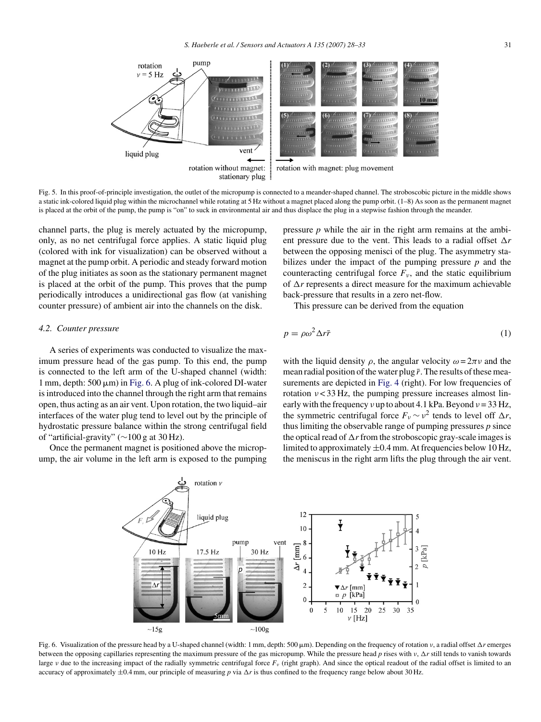<span id="page-3-0"></span>

Fig. 5. In this proof-of-principle investigation, the outlet of the micropump is connected to a meander-shaped channel. The stroboscobic picture in the middle shows a static ink-colored liquid plug within the microchannel while rotating at 5 Hz without a magnet placed along the pump orbit. (1–8) As soon as the permanent magnet is placed at the orbit of the pump, the pump is "on" to suck in environmental air and thus displace the plug in a stepwise fashion through the meander.

channel parts, the plug is merely actuated by the micropump, only, as no net centrifugal force applies. A static liquid plug (colored with ink for visualization) can be observed without a magnet at the pump orbit. A periodic and steady forward motion of the plug initiates as soon as the stationary permanent magnet is placed at the orbit of the pump. This proves that the pump periodically introduces a unidirectional gas flow (at vanishing counter pressure) of ambient air into the channels on the disk.

#### *4.2. Counter pressure*

A series of experiments was conducted to visualize the maximum pressure head of the gas pump. To this end, the pump is connected to the left arm of the U-shaped channel (width:  $1$  mm, depth:  $500 \mu m$ ) in Fig. 6. A plug of ink-colored DI-water is introduced into the channel through the right arm that remains open, thus acting as an air vent. Upon rotation, the two liquid–air interfaces of the water plug tend to level out by the principle of hydrostatic pressure balance within the strong centrifugal field of "artificial-gravity" (∼100 g at 30 Hz).

Once the permanent magnet is positioned above the micropump, the air volume in the left arm is exposed to the pumping pressure *p* while the air in the right arm remains at the ambient pressure due to the vent. This leads to a radial offset  $\Delta r$ between the opposing menisci of the plug. The asymmetry stabilizes under the impact of the pumping pressure *p* and the counteracting centrifugal force  $F_{\nu}$ , and the static equilibrium of  $\Delta r$  represents a direct measure for the maximum achievable back-pressure that results in a zero net-flow.

This pressure can be derived from the equation

$$
p = \rho \omega^2 \Delta r \bar{r} \tag{1}
$$

with the liquid density  $\rho$ , the angular velocity  $\omega = 2\pi \nu$  and the mean radial position of the water plug  $\bar{r}$ . The results of these measurements are depicted in [Fig. 4](#page-2-0) (right). For low frequencies of rotation  $\nu$  < 33 Hz, the pumping pressure increases almost linearly with the frequency  $v \text{ up to about } 4.1 \text{ kPa. Beyond } v = 33 \text{ Hz},$ the symmetric centrifugal force  $F_v \sim v^2$  tends to level off  $\Delta r$ , thus limiting the observable range of pumping pressures *p* since the optical read of  $\Delta r$  from the stroboscopic gray-scale images is limited to approximately  $\pm 0.4$  mm. At frequencies below 10 Hz, the meniscus in the right arm lifts the plug through the air vent.



Fig. 6. Visualization of the pressure head by a U-shaped channel (width: 1 mm, depth: 500 μm). Depending on the frequency of rotation v, a radial offset Δr emerges between the opposing capillaries representing the maximum pressure of the gas micropump. While the pressure head *p* rises with ν, Δr still tends to vanish towards large ν due to the increasing impact of the radially symmetric centrifugal force *F<sub>ν</sub>* (right graph). And since the optical readout of the radial offset is limited to an accuracy of approximately  $\pm 0.4$  mm, our principle of measuring p via  $\Delta r$  is thus confined to the frequency range below about 30 Hz.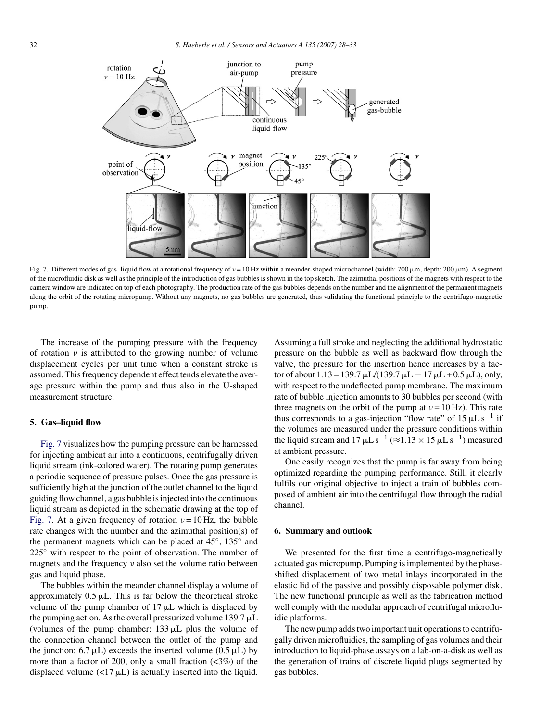

Fig. 7. Different modes of gas-liquid flow at a rotational frequency of  $v = 10$  Hz within a meander-shaped microchannel (width: 700 μm, depth: 200 μm). A segment of the microfluidic disk as well as the principle of the introduction of gas bubbles is shown in the top sketch. The azimuthal positions of the magnets with respect to the camera window are indicated on top of each photography. The production rate of the gas bubbles depends on the number and the alignment of the permanent magnets along the orbit of the rotating micropump. Without any magnets, no gas bubbles are generated, thus validating the functional principle to the centrifugo-magnetic pump.

The increase of the pumping pressure with the frequency of rotation  $\nu$  is attributed to the growing number of volume displacement cycles per unit time when a constant stroke is assumed. This frequency dependent effect tends elevate the average pressure within the pump and thus also in the U-shaped measurement structure.

#### **5. Gas–liquid flow**

Fig. 7 visualizes how the pumping pressure can be harnessed for injecting ambient air into a continuous, centrifugally driven liquid stream (ink-colored water). The rotating pump generates a periodic sequence of pressure pulses. Once the gas pressure is sufficiently high at the junction of the outlet channel to the liquid guiding flow channel, a gas bubble is injected into the continuous liquid stream as depicted in the schematic drawing at the top of Fig. 7. At a given frequency of rotation  $v = 10$  Hz, the bubble rate changes with the number and the azimuthal position(s) of the permanent magnets which can be placed at 45◦, 135◦ and 225<sup>°</sup> with respect to the point of observation. The number of magnets and the frequency  $\nu$  also set the volume ratio between gas and liquid phase.

The bubbles within the meander channel display a volume of approximately  $0.5 \mu L$ . This is far below the theoretical stroke volume of the pump chamber of  $17 \mu L$  which is displaced by the pumping action. As the overall pressurized volume  $139.7 \mu L$ (volumes of the pump chamber:  $133 \mu L$  plus the volume of the connection channel between the outlet of the pump and the junction:  $6.7 \mu L$ ) exceeds the inserted volume  $(0.5 \mu L)$  by more than a factor of 200, only a small fraction  $\langle \langle 3\% \rangle$  of the displaced volume  $\left\langle \langle 17 \mu L \rangle \right\rangle$  is actually inserted into the liquid.

Assuming a full stroke and neglecting the additional hydrostatic pressure on the bubble as well as backward flow through the valve, the pressure for the insertion hence increases by a factor of about  $1.13 = 139.7 \mu L/(139.7 \mu L - 17 \mu L + 0.5 \mu L)$ , only, with respect to the undeflected pump membrane. The maximum rate of bubble injection amounts to 30 bubbles per second (with three magnets on the orbit of the pump at  $v = 10$  Hz). This rate thus corresponds to a gas-injection "flow rate" of  $15 \mu L s^{-1}$  if the volumes are measured under the pressure conditions within the liquid stream and  $17 \mu L s^{-1} (\approx 1.13 \times 15 \mu L s^{-1})$  measured at ambient pressure.

One easily recognizes that the pump is far away from being optimized regarding the pumping performance. Still, it clearly fulfils our original objective to inject a train of bubbles composed of ambient air into the centrifugal flow through the radial channel.

#### **6. Summary and outlook**

We presented for the first time a centrifugo-magnetically actuated gas micropump. Pumping is implemented by the phaseshifted displacement of two metal inlays incorporated in the elastic lid of the passive and possibly disposable polymer disk. The new functional principle as well as the fabrication method well comply with the modular approach of centrifugal microfluidic platforms.

The new pump adds two important unit operations to centrifugally driven microfluidics, the sampling of gas volumes and their introduction to liquid-phase assays on a lab-on-a-disk as well as the generation of trains of discrete liquid plugs segmented by gas bubbles.